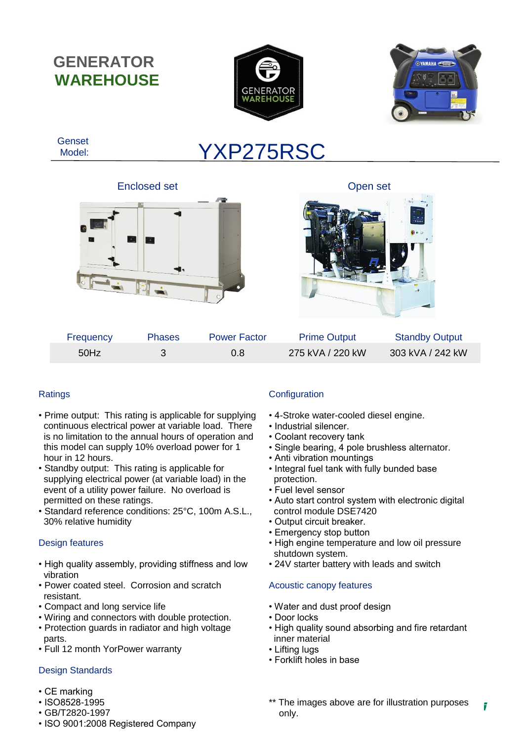**GENERATOR WAREHOUSE**





 Genset Model:

# YXP275RSC

Enclosed set **Open set** Open set





| Frequency | <b>Phases</b> | <b>Power Factor</b> | <b>Prime Output</b> | <b>Standby Output</b> |
|-----------|---------------|---------------------|---------------------|-----------------------|
| 50Hz      |               | 0.8                 | 275 kVA / 220 kW    | 303 kVA / 242 kW      |

## **Ratings**

- Prime output: This rating is applicable for supplying continuous electrical power at variable load. There is no limitation to the annual hours of operation and this model can supply 10% overload power for 1 hour in 12 hours.
- Standby output: This rating is applicable for supplying electrical power (at variable load) in the event of a utility power failure. No overload is permitted on these ratings.
- Standard reference conditions: 25°C, 100m A.S.L., 30% relative humidity

## Design features

- High quality assembly, providing stiffness and low vibration
- Power coated steel. Corrosion and scratch resistant.
- Compact and long service life
- Wiring and connectors with double protection.
- **The Generator Warehouse Co Ltd**<br>Warehouse Co Ltd • Protection guards in radiator and high voltage parts.
- Full 12 month YorPower warranty

### eian Standarde Design Standards

- Registered: England and Wales No. 09054517 • CE marking
- ISO8528-1995
- GB/T2820-1997
- ISO 9001:2008 Registered Company

## **Configuration**

- 4-Stroke water-cooled diesel engine.
- Industrial silencer.
- Coolant recovery tank
- Single bearing, 4 pole brushless alternator.
- Anti vibration mountings
- Integral fuel tank with fully bunded base protection.
- Fuel level sensor
- Auto start control system with electronic digital control module DSE7420
- Output circuit breaker.
- Emergency stop button
- High engine temperature and low oil pressure shutdown system.
- 24V starter battery with leads and switch

## Acoustic canopy features

- Water and dust proof design
- Door locks
- High quality sound absorbing and fire retardant inner material
- Lifting lugs
- Forklift holes in base
- \*\* The images above are for illustration purposes 7 only.